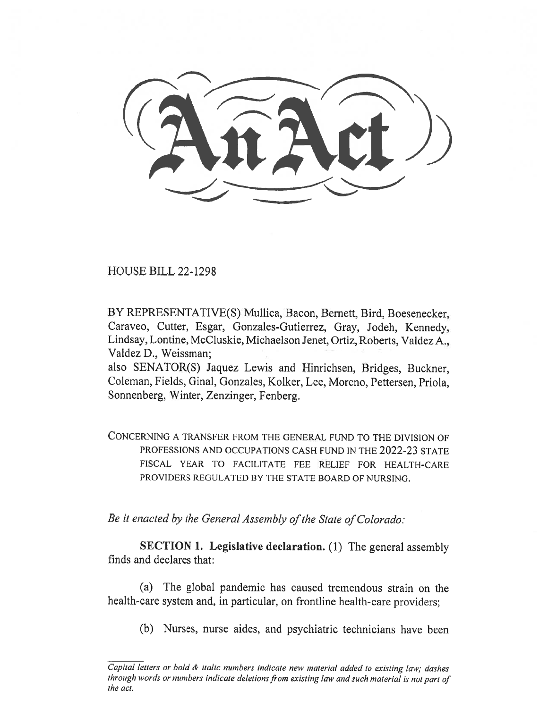HOUSE BILL 22-1298

BY REPRESENTATIVE(S) Mullica, Bacon, Bernett, Bird, Boesenecker, Caraveo, Cutter, Esgar, Gonzales-Gutierrez, Gray, Jodeh, Kennedy, Lindsay, Lontine, McCluskie, Michaelson Jenet, Ortiz, Roberts, Valdez A., Valdez D., Weissman;

also SENATOR(S) Jaquez Lewis and Hinrichsen, Bridges, Buckner, Coleman, Fields, Ginal, Gonzales, Kolker, Lee, Moreno, Pettersen, Priola, Sonnenberg, Winter, Zenzinger, Fenberg.

CONCERNING A TRANSFER FROM THE GENERAL FUND TO THE DIVISION OF PROFESSIONS AND OCCUPATIONS CASH FUND IN THE 2022-23 STATE FISCAL YEAR TO FACILITATE FEE RELIEF FOR HEALTH-CARE PROVIDERS REGULATED BY THE STATE BOARD OF NURSING.

Be it enacted by the General Assembly of the State of Colorado:

SECTION 1. Legislative declaration. (1) The general assembly finds and declares that:

(a) The global pandemic has caused tremendous strain on the health-care system and, in particular, on frontline health-care providers;

(b) Nurses, nurse aides, and psychiatric technicians have been

Capital letters or bold & italic numbers indicate new material added to existing law; dashes through words or numbers indicate deletions from existing law and such material is not part of the act.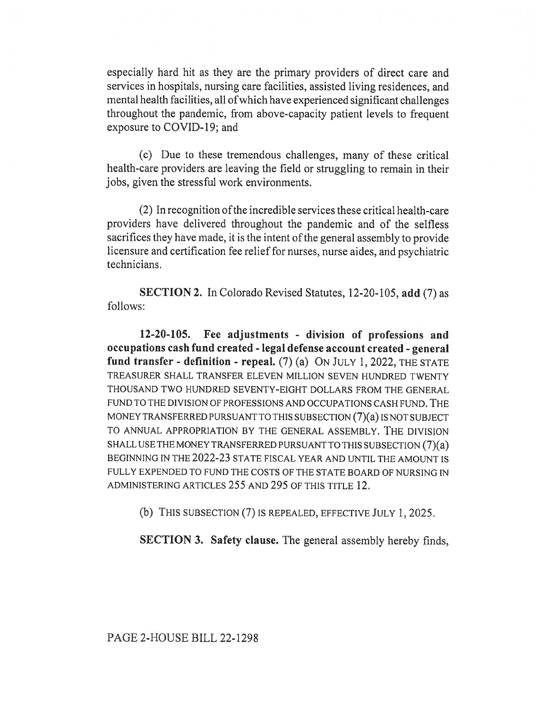especially hard hit as they are the primary providers of direct care and services in hospitals, nursing care facilities, assisted living residences, and mental health facilities, all of which have experienced significant challenges throughout the pandemic, from above-capacity patient levels to frequent exposure to COVID-19; and

(c) Due to these tremendous challenges, many of these critical health-care providers are leaving the field or struggling to remain in their jobs, given the stressful work environments.

(2) In recognition ofthe incredible services these critical health-care providers have delivered throughout the pandemic and of the selfless sacrifices they have made, it is the intent of the general assembly to provide licensure and certification fee relief for nurses, nurse aides, and psychiatric technicians.

SECTION 2. In Colorado Revised Statutes, 12-20-105, add (7) as follows:

12-20-105. Fee adjustments - division of professions and occupations cash fund created - legal defense account created - general fund transfer - definition - repeal.  $(7)$  (a) ON JULY 1, 2022, THE STATE TREASURER SHALL TRANSFER ELEVEN MILLION SEVEN HUNDRED TWENTY THOUSAND TWO HUNDRED SEVENTY-EIGHT DOLLARS FROM THE GENERAL FUND TO THE DIVISION OF PROFESSIONS AND OCCUPATIONS CASH FUND. THE MONEY TRANSFERRED PURSUANT TO THIS SUBSECTION (7)(a) IS NOT SUBJECT TO ANNUAL APPROPRIATION BY THE GENERAL ASSEMBLY. THE DIVISION SHALL USE THE MONEY TRANSFERRED PURSUANT TO THIS SUBSECTION (7)(a) BEGINNING IN THE 2022-23 STATE FISCAL YEAR AND UNTIL THE AMOUNT IS FULLY EXPENDED TO FUND THE COSTS OF THE STATE BOARD OF NURSING IN ADMINISTERING ARTICLES 255 AND 295 OF THIS TITLE 12.

(b) THIS SUBSECTION (7) IS REPEALED, EFFECTIVE JULY 1, 2025.

SECTION 3. Safety clause. The general assembly hereby finds,